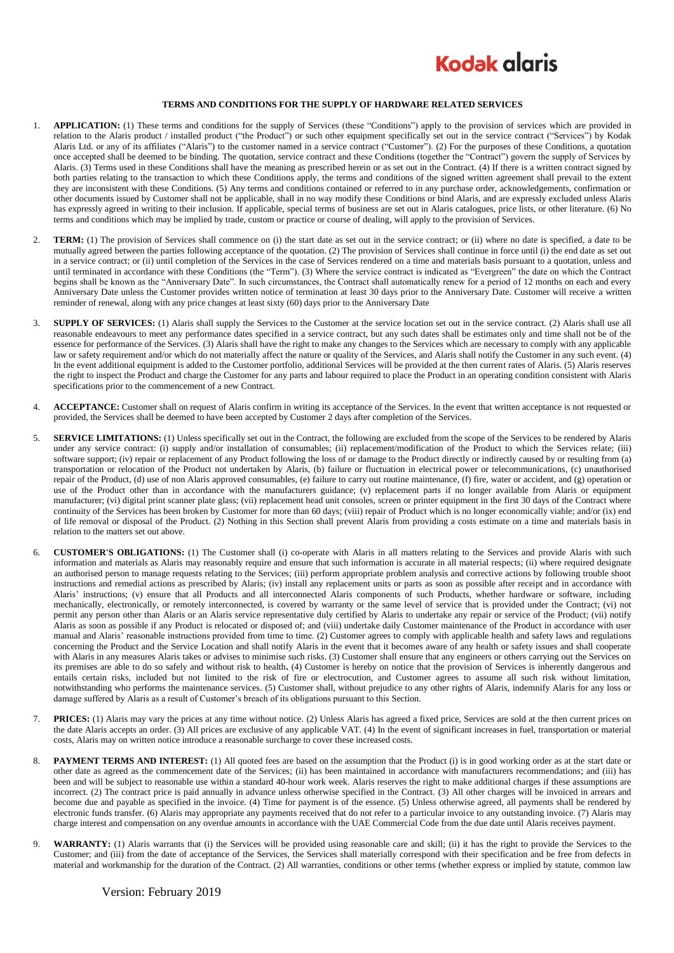

## **TERMS AND CONDITIONS FOR THE SUPPLY OF HARDWARE RELATED SERVICES**

- 1. **APPLICATION:** (1) These terms and conditions for the supply of Services (these "Conditions") apply to the provision of services which are provided in relation to the Alaris product / installed product ("the Product") or such other equipment specifically set out in the service contract ("Services") by Kodak Alaris Ltd. or any of its affiliates ("Alaris") to the customer named in a service contract ("Customer"). (2) For the purposes of these Conditions, a quotation once accepted shall be deemed to be binding. The quotation, service contract and these Conditions (together the "Contract") govern the supply of Services by Alaris. (3) Terms used in these Conditions shall have the meaning as prescribed herein or as set out in the Contract. (4) If there is a written contract signed by both parties relating to the transaction to which these Conditions apply, the terms and conditions of the signed written agreement shall prevail to the extent they are inconsistent with these Conditions. (5) Any terms and conditions contained or referred to in any purchase order, acknowledgements, confirmation or other documents issued by Customer shall not be applicable, shall in no way modify these Conditions or bind Alaris, and are expressly excluded unless Alaris has expressly agreed in writing to their inclusion. If applicable, special terms of business are set out in Alaris catalogues, price lists, or other literature. (6) No terms and conditions which may be implied by trade, custom or practice or course of dealing, will apply to the provision of Services.
- 2. **TERM:** (1) The provision of Services shall commence on (i) the start date as set out in the service contract; or (ii) where no date is specified, a date to be mutually agreed between the parties following acceptance of the quotation. (2) The provision of Services shall continue in force until (i) the end date as set out in a service contract; or (ii) until completion of the Services in the case of Services rendered on a time and materials basis pursuant to a quotation, unless and until terminated in accordance with these Conditions (the "Term"). (3) Where the service contract is indicated as "Evergreen" the date on which the Contract begins shall be known as the "Anniversary Date". In such circumstances, the Contract shall automatically renew for a period of 12 months on each and every Anniversary Date unless the Customer provides written notice of termination at least 30 days prior to the Anniversary Date. Customer will receive a written reminder of renewal, along with any price changes at least sixty (60) days prior to the Anniversary Date
- 3. **SUPPLY OF SERVICES:** (1) Alaris shall supply the Services to the Customer at the service location set out in the service contract. (2) Alaris shall use all reasonable endeavours to meet any performance dates specified in a service contract, but any such dates shall be estimates only and time shall not be of the essence for performance of the Services. (3) Alaris shall have the right to make any changes to the Services which are necessary to comply with any applicable law or safety requirement and/or which do not materially affect the nature or quality of the Services, and Alaris shall notify the Customer in any such event. (4) In the event additional equipment is added to the Customer portfolio, additional Services will be provided at the then current rates of Alaris. (5) Alaris reserves the right to inspect the Product and charge the Customer for any parts and labour required to place the Product in an operating condition consistent with Alaris specifications prior to the commencement of a new Contract.
- 4. **ACCEPTANCE:** Customer shall on request of Alaris confirm in writing its acceptance of the Services. In the event that written acceptance is not requested or provided, the Services shall be deemed to have been accepted by Customer 2 days after completion of the Services.
- 5. **SERVICE LIMITATIONS:** (1) Unless specifically set out in the Contract, the following are excluded from the scope of the Services to be rendered by Alaris under any service contract: (i) supply and/or installation of consumables; (ii) replacement/modification of the Product to which the Services relate; (iii) software support; (iv) repair or replacement of any Product following the loss of or damage to the Product directly or indirectly caused by or resulting from (a) transportation or relocation of the Product not undertaken by Alaris, (b) failure or fluctuation in electrical power or telecommunications, (c) unauthorised repair of the Product, (d) use of non Alaris approved consumables, (e) failure to carry out routine maintenance, (f) fire, water or accident, and (g) operation or use of the Product other than in accordance with the manufacturers guidance; (v) replacement parts if no longer available from Alaris or equipment manufacturer; (vi) digital print scanner plate glass; (vii) replacement head unit consoles, screen or printer equipment in the first 30 days of the Contract where continuity of the Services has been broken by Customer for more than 60 days; (viii) repair of Product which is no longer economically viable; and/or (ix) end of life removal or disposal of the Product. (2) Nothing in this Section shall prevent Alaris from providing a costs estimate on a time and materials basis in relation to the matters set out above.
- <span id="page-0-0"></span>6. **CUSTOMER'S OBLIGATIONS:** (1) The Customer shall (i) co-operate with Alaris in all matters relating to the Services and provide Alaris with such information and materials as Alaris may reasonably require and ensure that such information is accurate in all material respects; (ii) where required designate an authorised person to manage requests relating to the Services; (iii) perform appropriate problem analysis and corrective actions by following trouble shoot instructions and remedial actions as prescribed by Alaris; (iv) install any replacement units or parts as soon as possible after receipt and in accordance with Alaris' instructions; (v) ensure that all Products and all interconnected Alaris components of such Products, whether hardware or software, including mechanically, electronically, or remotely interconnected, is covered by warranty or the same level of service that is provided under the Contract; (vi) not permit any person other than Alaris or an Alaris service representative duly certified by Alaris to undertake any repair or service of the Product; (vii) notify Alaris as soon as possible if any Product is relocated or disposed of; and (viii) undertake daily Customer maintenance of the Product in accordance with user manual and Alaris' reasonable instructions provided from time to time. (2) Customer agrees to comply with applicable health and safety laws and regulations concerning the Product and the Service Location and shall notify Alaris in the event that it becomes aware of any health or safety issues and shall cooperate with Alaris in any measures Alaris takes or advises to minimise such risks. (3) Customer shall ensure that any engineers or others carrying out the Services on its premises are able to do so safely and without risk to health**.** (4) Customer is hereby on notice that the provision of Services is inherently dangerous and entails certain risks, included but not limited to the risk of fire or electrocution, and Customer agrees to assume all such risk without limitation, notwithstanding who performs the maintenance services. (5) Customer shall, without prejudice to any other rights of Alaris, indemnify Alaris for any loss or damage suffered by Alaris as a result of Customer's breach of its obligations pursuant to this Section.
- 7. **PRICES:** (1) Alaris may vary the prices at any time without notice. (2) Unless Alaris has agreed a fixed price, Services are sold at the then current prices on the date Alaris accepts an order. (3) All prices are exclusive of any applicable VAT. (4) In the event of significant increases in fuel, transportation or material costs, Alaris may on written notice introduce a reasonable surcharge to cover these increased costs.
- 8. **PAYMENT TERMS AND INTEREST:** (1) All quoted fees are based on the assumption that the Product (i) is in good working order as at the start date or other date as agreed as the commencement date of the Services; (ii) has been maintained in accordance with manufacturers recommendations; and (iii) has been and will be subject to reasonable use within a standard 40-hour work week. Alaris reserves the right to make additional charges if these assumptions are incorrect. (2) The contract price is paid annually in advance unless otherwise specified in the Contract. (3) All other charges will be invoiced in arrears and become due and payable as specified in the invoice. (4) Time for payment is of the essence. (5) Unless otherwise agreed, all payments shall be rendered by electronic funds transfer. (6) Alaris may appropriate any payments received that do not refer to a particular invoice to any outstanding invoice. (7) Alaris may charge interest and compensation on any overdue amounts in accordance with the UAE Commercial Code from the due date until Alaris receives payment.
- 9. **WARRANTY:** (1) Alaris warrants that (i) the Services will be provided using reasonable care and skill; (ii) it has the right to provide the Services to the Customer; and (iii) from the date of acceptance of the Services, the Services shall materially correspond with their specification and be free from defects in material and workmanship for the duration of the Contract. (2) All warranties, conditions or other terms (whether express or implied by statute, common law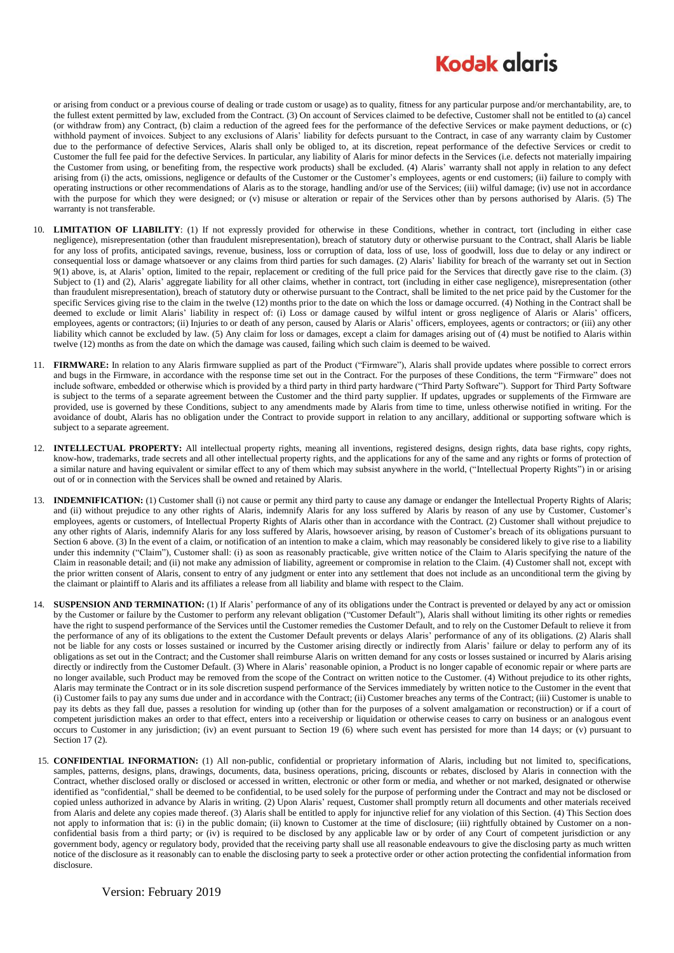## **Kodak alaris**

or arising from conduct or a previous course of dealing or trade custom or usage) as to quality, fitness for any particular purpose and/or merchantability, are, to the fullest extent permitted by law, excluded from the Contract. (3) On account of Services claimed to be defective, Customer shall not be entitled to (a) cancel (or withdraw from) any Contract, (b) claim a reduction of the agreed fees for the performance of the defective Services or make payment deductions, or (c) withhold payment of invoices. Subject to any exclusions of Alaris' liability for defects pursuant to the Contract, in case of any warranty claim by Customer due to the performance of defective Services, Alaris shall only be obliged to, at its discretion, repeat performance of the defective Services or credit to Customer the full fee paid for the defective Services. In particular, any liability of Alaris for minor defects in the Services (i.e. defects not materially impairing the Customer from using, or benefiting from, the respective work products) shall be excluded. (4) Alaris' warranty shall not apply in relation to any defect arising from (i) the acts, omissions, negligence or defaults of the Customer or the Customer's employees, agents or end customers; (ii) failure to comply with operating instructions or other recommendations of Alaris as to the storage, handling and/or use of the Services; (iii) wilful damage; (iv) use not in accordance with the purpose for which they were designed; or (v) misuse or alteration or repair of the Services other than by persons authorised by Alaris. (5) The warranty is not transferable.

- 10. **LIMITATION OF LIABILITY**: (1) If not expressly provided for otherwise in these Conditions, whether in contract, tort (including in either case negligence), misrepresentation (other than fraudulent misrepresentation), breach of statutory duty or otherwise pursuant to the Contract, shall Alaris be liable for any loss of profits, anticipated savings, revenue, business, loss or corruption of data, loss of use, loss of goodwill, loss due to delay or any indirect or consequential loss or damage whatsoever or any claims from third parties for such damages. (2) Alaris' liability for breach of the warranty set out in Section 9(1) above, is, at Alaris' option, limited to the repair, replacement or crediting of the full price paid for the Services that directly gave rise to the claim. (3) Subject to (1) and (2), Alaris' aggregate liability for all other claims, whether in contract, tort (including in either case negligence), misrepresentation (other than fraudulent misrepresentation), breach of statutory duty or otherwise pursuant to the Contract, shall be limited to the net price paid by the Customer for the specific Services giving rise to the claim in the twelve (12) months prior to the date on which the loss or damage occurred. (4) Nothing in the Contract shall be deemed to exclude or limit Alaris' liability in respect of: (i) Loss or damage caused by wilful intent or gross negligence of Alaris or Alaris' officers, employees, agents or contractors; (ii) Injuries to or death of any person, caused by Alaris or Alaris' officers, employees, agents or contractors; or (iii) any other liability which cannot be excluded by law. (5) Any claim for loss or damages, except a claim for damages arising out of (4) must be notified to Alaris within twelve (12) months as from the date on which the damage was caused, failing which such claim is deemed to be waived.
- 11. **FIRMWARE:** In relation to any Alaris firmware supplied as part of the Product ("Firmware"), Alaris shall provide updates where possible to correct errors and bugs in the Firmware, in accordance with the response time set out in the Contract. For the purposes of these Conditions, the term "Firmware" does not include software, embedded or otherwise which is provided by a third party in third party hardware ("Third Party Software"). Support for Third Party Software is subject to the terms of a separate agreement between the Customer and the third party supplier. If updates, upgrades or supplements of the Firmware are provided, use is governed by these Conditions, subject to any amendments made by Alaris from time to time, unless otherwise notified in writing. For the avoidance of doubt, Alaris has no obligation under the Contract to provide support in relation to any ancillary, additional or supporting software which is subject to a separate agreement.
- 12. **INTELLECTUAL PROPERTY:** All intellectual property rights, meaning all inventions, registered designs, design rights, data base rights, copy rights, know-how, trademarks, trade secrets and all other intellectual property rights, and the applications for any of the same and any rights or forms of protection of a similar nature and having equivalent or similar effect to any of them which may subsist anywhere in the world, ("Intellectual Property Rights") in or arising out of or in connection with the Services shall be owned and retained by Alaris.
- 13. **INDEMNIFICATION:** (1) Customer shall (i) not cause or permit any third party to cause any damage or endanger the Intellectual Property Rights of Alaris; and (ii) without prejudice to any other rights of Alaris, indemnify Alaris for any loss suffered by Alaris by reason of any use by Customer, Customer's employees, agents or customers, of Intellectual Property Rights of Alaris other than in accordance with the Contract. (2) Customer shall without prejudice to any other rights of Alaris, indemnify Alaris for any loss suffered by Alaris, howsoever arising, by reason of Customer's breach of its obligations pursuant to Sectio[n 6](#page-0-0) above. (3) In the event of a claim, or notification of an intention to make a claim, which may reasonably be considered likely to give rise to a liability under this indemnity ("Claim"), Customer shall: (i) as soon as reasonably practicable, give written notice of the Claim to Alaris specifying the nature of the Claim in reasonable detail; and (ii) not make any admission of liability, agreement or compromise in relation to the Claim. (4) Customer shall not, except with the prior written consent of Alaris, consent to entry of any judgment or enter into any settlement that does not include as an unconditional term the giving by the claimant or plaintiff to Alaris and its affiliates a release from all liability and blame with respect to the Claim.
- 14. **SUSPENSION AND TERMINATION:** (1) If Alaris' performance of any of its obligations under the Contract is prevented or delayed by any act or omission by the Customer or failure by the Customer to perform any relevant obligation ("Customer Default"), Alaris shall without limiting its other rights or remedies have the right to suspend performance of the Services until the Customer remedies the Customer Default, and to rely on the Customer Default to relieve it from the performance of any of its obligations to the extent the Customer Default prevents or delays Alaris' performance of any of its obligations. (2) Alaris shall not be liable for any costs or losses sustained or incurred by the Customer arising directly or indirectly from Alaris' failure or delay to perform any of its obligations as set out in the Contract; and the Customer shall reimburse Alaris on written demand for any costs or losses sustained or incurred by Alaris arising directly or indirectly from the Customer Default. (3) Where in Alaris' reasonable opinion, a Product is no longer capable of economic repair or where parts are no longer available, such Product may be removed from the scope of the Contract on written notice to the Customer. (4) Without prejudice to its other rights, Alaris may terminate the Contract or in its sole discretion suspend performance of the Services immediately by written notice to the Customer in the event that (i) Customer fails to pay any sums due under and in accordance with the Contract; (ii) Customer breaches any terms of the Contract; (iii) Customer is unable to pay its debts as they fall due, passes a resolution for winding up (other than for the purposes of a solvent amalgamation or reconstruction) or if a court of competent jurisdiction makes an order to that effect, enters into a receivership or liquidation or otherwise ceases to carry on business or an analogous event occurs to Customer in any jurisdiction; (iv) an event pursuant to Section 19 (6) where such event has persisted for more than 14 days; or (v) pursuant to Sectio[n 17](#page-2-0) (2).
- 15. **CONFIDENTIAL INFORMATION:** (1) All non-public, confidential or proprietary information of Alaris, including but not limited to, specifications, samples, patterns, designs, plans, drawings, documents, data, business operations, pricing, discounts or rebates, disclosed by Alaris in connection with the Contract, whether disclosed orally or disclosed or accessed in written, electronic or other form or media, and whether or not marked, designated or otherwise identified as "confidential," shall be deemed to be confidential, to be used solely for the purpose of performing under the Contract and may not be disclosed or copied unless authorized in advance by Alaris in writing. (2) Upon Alaris' request, Customer shall promptly return all documents and other materials received from Alaris and delete any copies made thereof. (3) Alaris shall be entitled to apply for injunctive relief for any violation of this Section. (4) This Section does not apply to information that is: (i) in the public domain; (ii) known to Customer at the time of disclosure; (iii) rightfully obtained by Customer on a nonconfidential basis from a third party; or (iv) is required to be disclosed by any applicable law or by order of any Court of competent jurisdiction or any government body, agency or regulatory body, provided that the receiving party shall use all reasonable endeavours to give the disclosing party as much written notice of the disclosure as it reasonably can to enable the disclosing party to seek a protective order or other action protecting the confidential information from disclosure.